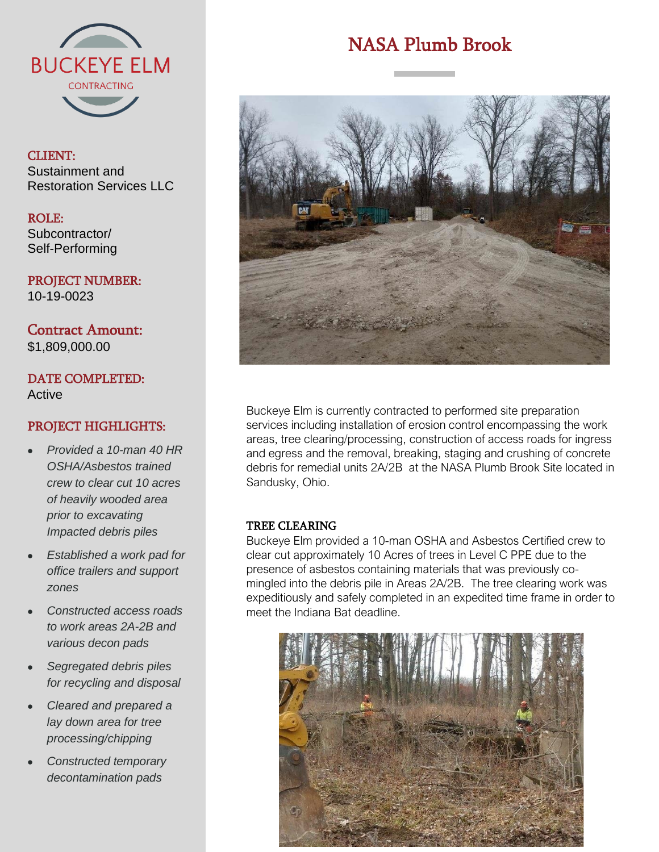

### CLIENT: Sustainment and Restoration Services LLC

ROLE: Subcontractor/ Self-Performing

PROJECT NUMBER: 10-19-0023

Contract Amount: \$1,809,000.00

## DATE COMPLETED: **Active**

## PROJECT HIGHLIGHTS:

- *Provided a 10-man 40 HR OSHA/Asbestos trained crew to clear cut 10 acres of heavily wooded area prior to excavating Impacted debris piles*
- *Established a work pad for office trailers and support zones*
- *Constructed access roads to work areas 2A-2B and various decon pads*
- *Segregated debris piles for recycling and disposal*
- *Cleared and prepared a lay down area for tree processing/chipping*
- *Constructed temporary decontamination pads*

# NASA Plumb Brook



Buckeye Elm is currently contracted to performed site preparation services including installation of erosion control encompassing the work areas, tree clearing/processing, construction of access roads for ingress and egress and the removal, breaking, staging and crushing of concrete debris for remedial units 2A/2B at the NASA Plumb Brook Site located in Sandusky, Ohio.

#### TREE CLEARING

Buckeye Elm provided a 10-man OSHA and Asbestos Certified crew to clear cut approximately 10 Acres of trees in Level C PPE due to the presence of asbestos containing materials that was previously comingled into the debris pile in Areas 2A/2B. The tree clearing work was expeditiously and safely completed in an expedited time frame in order to meet the Indiana Bat deadline.